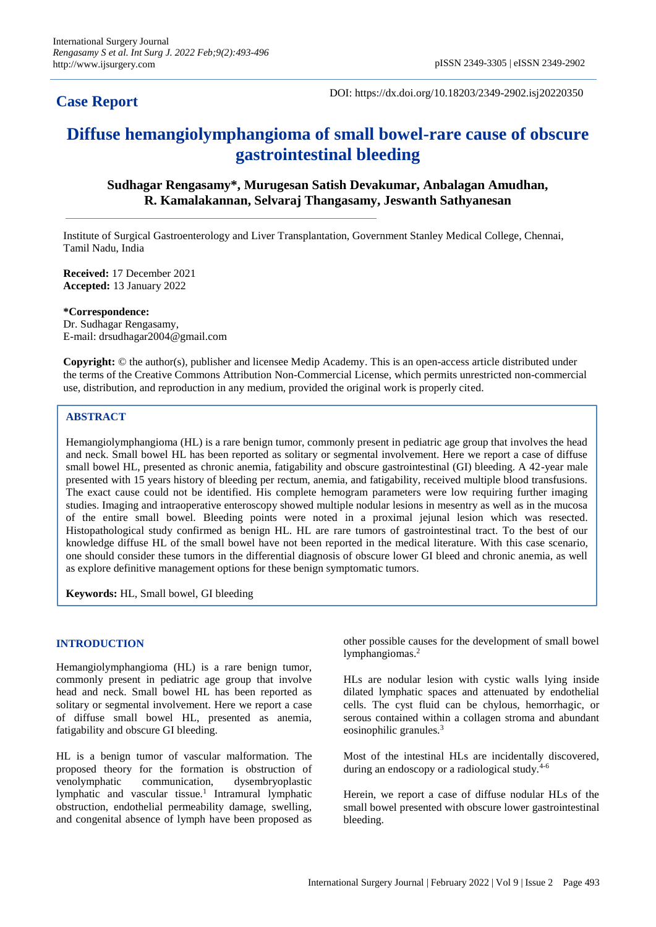# **Case Report**

DOI: https://dx.doi.org/10.18203/2349-2902.isj20220350

# **Diffuse hemangiolymphangioma of small bowel-rare cause of obscure gastrointestinal bleeding**

**Sudhagar Rengasamy\*, Murugesan Satish Devakumar, Anbalagan Amudhan, R. Kamalakannan, Selvaraj Thangasamy, Jeswanth Sathyanesan**

Institute of Surgical Gastroenterology and Liver Transplantation, Government Stanley Medical College, Chennai, Tamil Nadu, India

**Received:** 17 December 2021 **Accepted:** 13 January 2022

**\*Correspondence:** Dr. Sudhagar Rengasamy, E-mail: drsudhagar2004@gmail.com

**Copyright:** © the author(s), publisher and licensee Medip Academy. This is an open-access article distributed under the terms of the Creative Commons Attribution Non-Commercial License, which permits unrestricted non-commercial use, distribution, and reproduction in any medium, provided the original work is properly cited.

## **ABSTRACT**

Hemangiolymphangioma (HL) is a rare benign tumor, commonly present in pediatric age group that involves the head and neck. Small bowel HL has been reported as solitary or segmental involvement. Here we report a case of diffuse small bowel HL, presented as chronic anemia, fatigability and obscure gastrointestinal (GI) bleeding. A 42-year male presented with 15 years history of bleeding per rectum, anemia, and fatigability, received multiple blood transfusions. The exact cause could not be identified. His complete hemogram parameters were low requiring further imaging studies. Imaging and intraoperative enteroscopy showed multiple nodular lesions in mesentry as well as in the mucosa of the entire small bowel. Bleeding points were noted in a proximal jejunal lesion which was resected. Histopathological study confirmed as benign HL. HL are rare tumors of gastrointestinal tract. To the best of our knowledge diffuse HL of the small bowel have not been reported in the medical literature. With this case scenario, one should consider these tumors in the differential diagnosis of obscure lower GI bleed and chronic anemia, as well as explore definitive management options for these benign symptomatic tumors.

**Keywords:** HL, Small bowel, GI bleeding

### **INTRODUCTION**

Hemangiolymphangioma (HL) is a rare benign tumor, commonly present in pediatric age group that involve head and neck. Small bowel HL has been reported as solitary or segmental involvement. Here we report a case of diffuse small bowel HL, presented as anemia, fatigability and obscure GI bleeding.

HL is a benign tumor of vascular malformation. The proposed theory for the formation is obstruction of venolymphatic communication, dysembryoplastic lymphatic and vascular tissue.<sup>1</sup> Intramural lymphatic obstruction, endothelial permeability damage, swelling, and congenital absence of lymph have been proposed as

other possible causes for the development of small bowel lymphangiomas.<sup>2</sup>

HLs are nodular lesion with cystic walls lying inside dilated lymphatic spaces and attenuated by endothelial cells. The cyst fluid can be chylous, hemorrhagic, or serous contained within a collagen stroma and abundant eosinophilic granules.<sup>3</sup>

Most of the intestinal HLs are incidentally discovered, during an endoscopy or a radiological study. $4-6$ 

Herein, we report a case of diffuse nodular HLs of the small bowel presented with obscure lower gastrointestinal bleeding.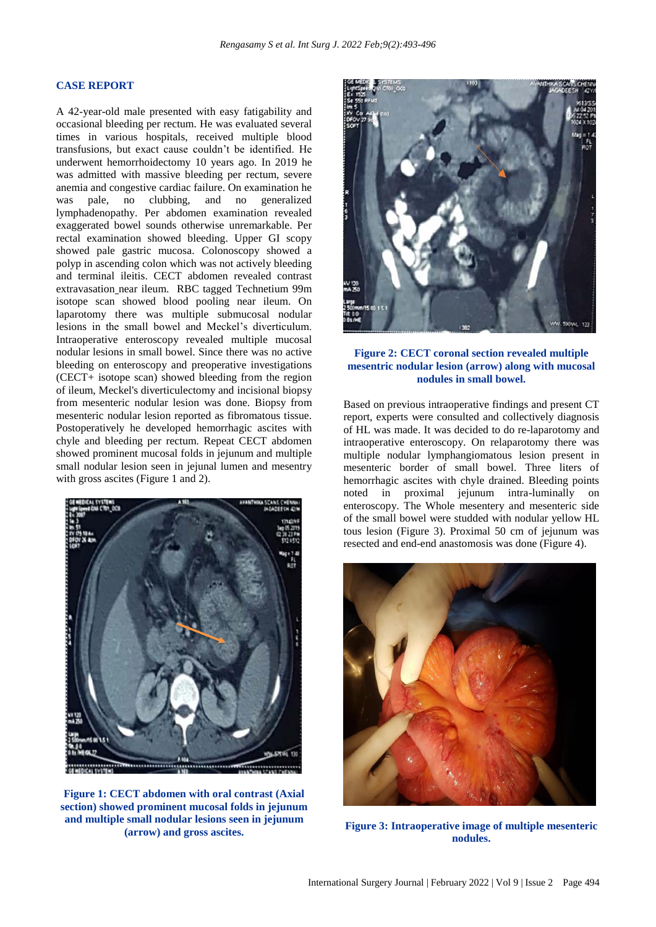#### **CASE REPORT**

A 42-year-old male presented with easy fatigability and occasional bleeding per rectum. He was evaluated several times in various hospitals, received multiple blood transfusions, but exact cause couldn't be identified. He underwent hemorrhoidectomy 10 years ago. In 2019 he was admitted with massive bleeding per rectum, severe anemia and congestive cardiac failure. On examination he was pale, no clubbing, and no generalized lymphadenopathy. Per abdomen examination revealed exaggerated bowel sounds otherwise unremarkable. Per rectal examination showed bleeding. Upper GI scopy showed pale gastric mucosa. Colonoscopy showed a polyp in ascending colon which was not actively bleeding and terminal ileitis. CECT abdomen revealed contrast extravasation near ileum. RBC tagged Technetium 99m isotope scan showed blood pooling near ileum. On laparotomy there was multiple submucosal nodular lesions in the small bowel and Meckel's diverticulum. Intraoperative enteroscopy revealed multiple mucosal nodular lesions in small bowel. Since there was no active bleeding on enteroscopy and preoperative investigations (CECT+ isotope scan) showed bleeding from the region of ileum, Meckel's diverticulectomy and incisional biopsy from mesenteric nodular lesion was done. Biopsy from mesenteric nodular lesion reported as fibromatous tissue. Postoperatively he developed hemorrhagic ascites with chyle and bleeding per rectum. Repeat CECT abdomen showed prominent mucosal folds in jejunum and multiple small nodular lesion seen in jejunal lumen and mesentry with gross ascites (Figure 1 and 2).



**Figure 1: CECT abdomen with oral contrast (Axial section) showed prominent mucosal folds in jejunum and multiple small nodular lesions seen in jejunum (arrow) and gross ascites.**



#### **Figure 2: CECT coronal section revealed multiple mesentric nodular lesion (arrow) along with mucosal nodules in small bowel.**

Based on previous intraoperative findings and present CT report, experts were consulted and collectively diagnosis of HL was made. It was decided to do re-laparotomy and intraoperative enteroscopy. On relaparotomy there was multiple nodular lymphangiomatous lesion present in mesenteric border of small bowel. Three liters of hemorrhagic ascites with chyle drained. Bleeding points noted in proximal jejunum intra-luminally on enteroscopy. The Whole mesentery and mesenteric side of the small bowel were studded with nodular yellow HL tous lesion (Figure 3). Proximal 50 cm of jejunum was resected and end-end anastomosis was done (Figure 4).



**Figure 3: Intraoperative image of multiple mesenteric nodules.**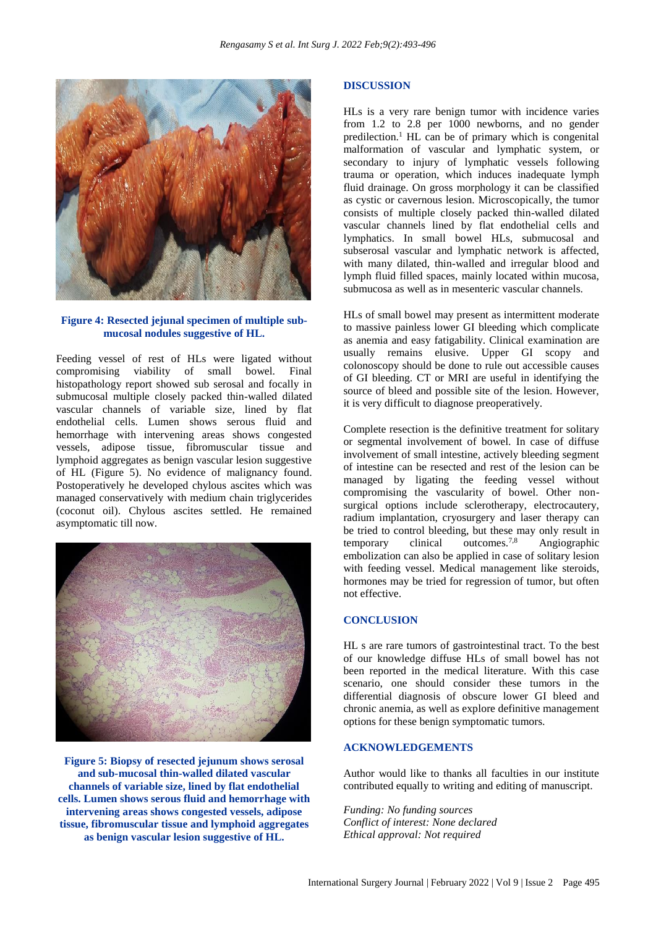

### **Figure 4: Resected jejunal specimen of multiple submucosal nodules suggestive of HL.**

Feeding vessel of rest of HLs were ligated without compromising viability of small bowel. Final histopathology report showed sub serosal and focally in submucosal multiple closely packed thin-walled dilated vascular channels of variable size, lined by flat endothelial cells. Lumen shows serous fluid and hemorrhage with intervening areas shows congested vessels, adipose tissue, fibromuscular tissue and lymphoid aggregates as benign vascular lesion suggestive of HL (Figure 5). No evidence of malignancy found. Postoperatively he developed chylous ascites which was managed conservatively with medium chain triglycerides (coconut oil). Chylous ascites settled. He remained asymptomatic till now.



**Figure 5: Biopsy of resected jejunum shows serosal and sub-mucosal thin-walled dilated vascular channels of variable size, lined by flat endothelial cells. Lumen shows serous fluid and hemorrhage with intervening areas shows congested vessels, adipose tissue, fibromuscular tissue and lymphoid aggregates as benign vascular lesion suggestive of HL.**

#### **DISCUSSION**

HLs is a very rare benign tumor with incidence varies from 1.2 to 2.8 per 1000 newborns, and no gender predilection.<sup>1</sup> HL can be of primary which is congenital malformation of vascular and lymphatic system, or secondary to injury of lymphatic vessels following trauma or operation, which induces inadequate lymph fluid drainage. On gross morphology it can be classified as cystic or cavernous lesion. Microscopically, the tumor consists of multiple closely packed thin-walled dilated vascular channels lined by flat endothelial cells and lymphatics. In small bowel HLs, submucosal and subserosal vascular and lymphatic network is affected, with many dilated, thin-walled and irregular blood and lymph fluid filled spaces, mainly located within mucosa, submucosa as well as in mesenteric vascular channels.

HLs of small bowel may present as intermittent moderate to massive painless lower GI bleeding which complicate as anemia and easy fatigability. Clinical examination are usually remains elusive. Upper GI scopy and colonoscopy should be done to rule out accessible causes of GI bleeding. CT or MRI are useful in identifying the source of bleed and possible site of the lesion. However, it is very difficult to diagnose preoperatively.

Complete resection is the definitive treatment for solitary or segmental involvement of bowel. In case of diffuse involvement of small intestine, actively bleeding segment of intestine can be resected and rest of the lesion can be managed by ligating the feeding vessel without compromising the vascularity of bowel. Other nonsurgical options include sclerotherapy, electrocautery, radium implantation, cryosurgery and laser therapy can be tried to control bleeding, but these may only result in temporary clinical outcomes.7,8 Angiographic embolization can also be applied in case of solitary lesion with feeding vessel. Medical management like steroids, hormones may be tried for regression of tumor, but often not effective.

#### **CONCLUSION**

HL s are rare tumors of gastrointestinal tract. To the best of our knowledge diffuse HLs of small bowel has not been reported in the medical literature. With this case scenario, one should consider these tumors in the differential diagnosis of obscure lower GI bleed and chronic anemia, as well as explore definitive management options for these benign symptomatic tumors.

#### **ACKNOWLEDGEMENTS**

Author would like to thanks all faculties in our institute contributed equally to writing and editing of manuscript.

*Funding: No funding sources Conflict of interest: None declared Ethical approval: Not required*